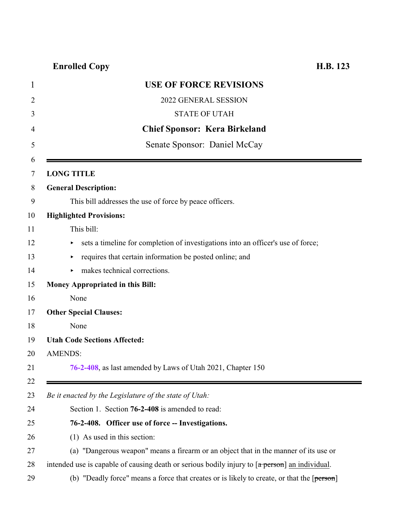## **Enrolled Copy H.B. 123**

<span id="page-0-0"></span>

| $\mathbf 1$    | <b>USE OF FORCE REVISIONS</b>                                                                  |
|----------------|------------------------------------------------------------------------------------------------|
| $\overline{2}$ | 2022 GENERAL SESSION                                                                           |
| 3              | <b>STATE OF UTAH</b>                                                                           |
| 4              | <b>Chief Sponsor: Kera Birkeland</b>                                                           |
| 5              | Senate Sponsor: Daniel McCay                                                                   |
| 6              |                                                                                                |
| 7              | <b>LONG TITLE</b>                                                                              |
| 8              | <b>General Description:</b>                                                                    |
| 9              | This bill addresses the use of force by peace officers.                                        |
| 10             | <b>Highlighted Provisions:</b>                                                                 |
| 11             | This bill:                                                                                     |
| 12             | sets a timeline for completion of investigations into an officer's use of force;               |
| 13             | requires that certain information be posted online; and                                        |
| 14             | makes technical corrections.                                                                   |
| 15             | <b>Money Appropriated in this Bill:</b>                                                        |
| 16             | None                                                                                           |
| 17             | <b>Other Special Clauses:</b>                                                                  |
| 18             | None                                                                                           |
| 19             | <b>Utah Code Sections Affected:</b>                                                            |
| 20             | <b>AMENDS:</b>                                                                                 |
| 21             | 76-2-408, as last amended by Laws of Utah 2021, Chapter 150                                    |
| 22             |                                                                                                |
| 23             | Be it enacted by the Legislature of the state of Utah:                                         |
| 24             | Section 1. Section 76-2-408 is amended to read:                                                |
| 25             | 76-2-408. Officer use of force -- Investigations.                                              |
| 26             | (1) As used in this section:                                                                   |
| 27             | (a) "Dangerous weapon" means a firearm or an object that in the manner of its use or           |
| 28             | intended use is capable of causing death or serious bodily injury to [a person] an individual. |
| 29             | (b) "Deadly force" means a force that creates or is likely to create, or that the $[person]$   |
|                |                                                                                                |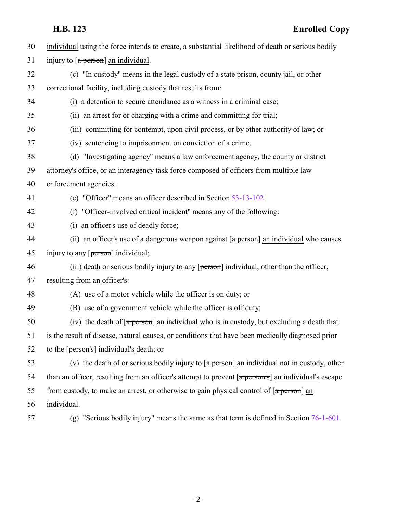| 30 | individual using the force intends to create, a substantial likelihood of death or serious bodily                      |
|----|------------------------------------------------------------------------------------------------------------------------|
| 31 | injury to $\lceil a \text{ person} \rceil$ an individual.                                                              |
| 32 | (c) "In custody" means in the legal custody of a state prison, county jail, or other                                   |
| 33 | correctional facility, including custody that results from:                                                            |
| 34 | (i) a detention to secure attendance as a witness in a criminal case;                                                  |
| 35 | (ii) an arrest for or charging with a crime and committing for trial;                                                  |
| 36 | (iii) committing for contempt, upon civil process, or by other authority of law; or                                    |
| 37 | (iv) sentencing to imprisonment on conviction of a crime.                                                              |
| 38 | (d) "Investigating agency" means a law enforcement agency, the county or district                                      |
| 39 | attorney's office, or an interagency task force composed of officers from multiple law                                 |
| 40 | enforcement agencies.                                                                                                  |
| 41 | (e) "Officer" means an officer described in Section 53-13-102.                                                         |
| 42 | (f) "Officer-involved critical incident" means any of the following:                                                   |
| 43 | (i) an officer's use of deadly force;                                                                                  |
| 44 | (ii) an officer's use of a dangerous weapon against $\lceil a \text{ person} \rceil$ an individual who causes          |
| 45 | injury to any [person] individual;                                                                                     |
| 46 | (iii) death or serious bodily injury to any [person] individual, other than the officer,                               |
| 47 | resulting from an officer's:                                                                                           |
| 48 | (A) use of a motor vehicle while the officer is on duty; or                                                            |
| 49 | (B) use of a government vehicle while the officer is off duty;                                                         |
| 50 | (iv) the death of [a person] an individual who is in custody, but excluding a death that                               |
| 51 | is the result of disease, natural causes, or conditions that have been medically diagnosed prior                       |
| 52 | to the [person's] individual's death; or                                                                               |
| 53 | (v) the death of or serious bodily injury to $\sqrt{a}$ person an individual not in custody, other                     |
| 54 | than an officer, resulting from an officer's attempt to prevent $\lceil a \frac{\pi}{2} \rceil$ an individual's escape |
| 55 | from custody, to make an arrest, or otherwise to gain physical control of $\lceil a \text{ person} \rceil$ an          |
| 56 | individual.                                                                                                            |
| 57 | "Serious bodily injury" means the same as that term is defined in Section 76-1-601.<br>(g)                             |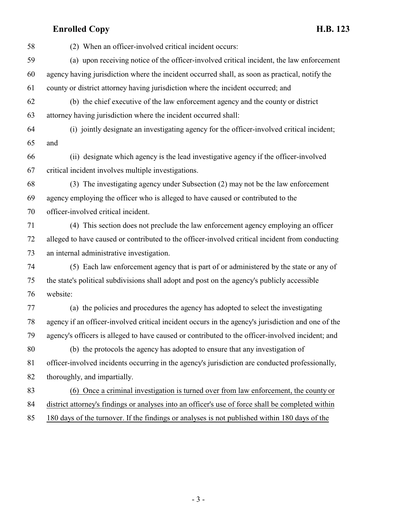## **Enrolled Copy H.B. 123**

 (2) When an officer-involved critical incident occurs: (a) upon receiving notice of the officer-involved critical incident, the law enforcement agency having jurisdiction where the incident occurred shall, as soon as practical, notify the county or district attorney having jurisdiction where the incident occurred; and (b) the chief executive of the law enforcement agency and the county or district attorney having jurisdiction where the incident occurred shall: (i) jointly designate an investigating agency for the officer-involved critical incident; and (ii) designate which agency is the lead investigative agency if the officer-involved critical incident involves multiple investigations. (3) The investigating agency under Subsection (2) may not be the law enforcement agency employing the officer who is alleged to have caused or contributed to the officer-involved critical incident. (4) This section does not preclude the law enforcement agency employing an officer alleged to have caused or contributed to the officer-involved critical incident from conducting an internal administrative investigation. (5) Each law enforcement agency that is part of or administered by the state or any of the state's political subdivisions shall adopt and post on the agency's publicly accessible website: (a) the policies and procedures the agency has adopted to select the investigating agency if an officer-involved critical incident occurs in the agency's jurisdiction and one of the agency's officers is alleged to have caused or contributed to the officer-involved incident; and (b) the protocols the agency has adopted to ensure that any investigation of officer-involved incidents occurring in the agency's jurisdiction are conducted professionally, thoroughly, and impartially. (6) Once a criminal investigation is turned over from law enforcement, the county or district attorney's findings or analyses into an officer's use of force shall be completed within 180 days of the turnover. If the findings or analyses is not published within 180 days of the

- 3 -